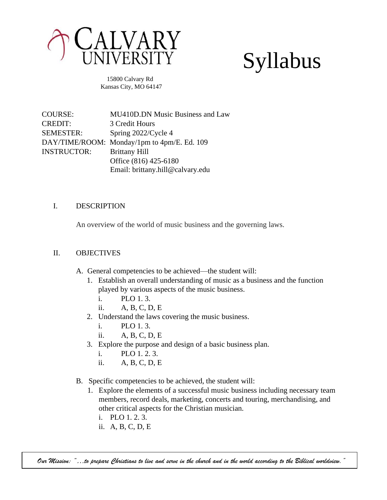

# Syllabus

 15800 Calvary Rd Kansas City, MO 64147

COURSE: MU410D.DN Music Business and Law CREDIT: 3 Credit Hours SEMESTER: Spring 2022/Cycle 4 DAY/TIME/ROOM: Monday/1pm to 4pm/E. Ed. 109 INSTRUCTOR: Brittany Hill Office (816) 425-6180 Email: brittany.hill@calvary.edu

#### I. DESCRIPTION

An overview of the world of music business and the governing laws.

#### II. OBJECTIVES

- A. General competencies to be achieved—the student will:
	- 1. Establish an overall understanding of music as a business and the function played by various aspects of the music business.
		- i. PLO 1. 3.
		- ii. A, B, C, D, E
	- 2. Understand the laws covering the music business.
		- i. PLO 1. 3.
		- ii. A, B, C, D, E
	- 3. Explore the purpose and design of a basic business plan.
		- i. PLO 1. 2. 3.
		- ii. A, B, C, D, E
- B. Specific competencies to be achieved, the student will:
	- 1. Explore the elements of a successful music business including necessary team members, record deals, marketing, concerts and touring, merchandising, and other critical aspects for the Christian musician.
		- i. PLO 1. 2. 3.
		- ii. A, B, C, D, E

*Our Mission: "…to prepare Christians to live and serve in the church and in the world according to the Biblical worldview."*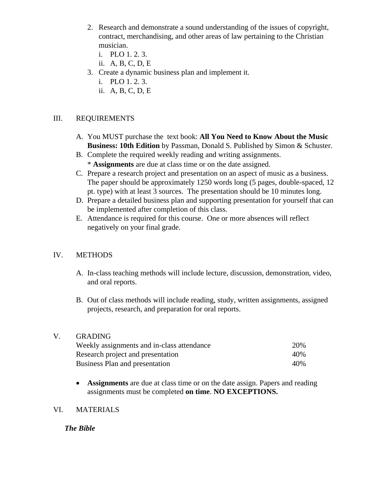- 2. Research and demonstrate a sound understanding of the issues of copyright, contract, merchandising, and other areas of law pertaining to the Christian musician.
	- i. PLO 1. 2. 3.
	- ii. A, B, C, D, E
- 3. Create a dynamic business plan and implement it.
	- i. PLO 1. 2. 3.
	- ii. A, B, C, D, E

#### III. REQUIREMENTS

- A. You MUST purchase the text book: **All You Need to Know About the Music Business: 10th Edition** by Passman, Donald S. [Pu](https://www.amazon.com/s/ref=dp_byline_sr_book_1?ie=UTF8&field-author=Donald+S.+Passman&text=Donald+S.+Passman&sort=relevancerank&search-alias=books)blished by Simon & Schuster.
- B. Complete the required weekly reading and writing assignments. \* **Assignments** are due at class time or on the date assigned.
- C. Prepare a research project and presentation on an aspect of music as a business. The paper should be approximately 1250 words long (5 pages, double-spaced, 12 pt. type) with at least 3 sources. The presentation should be 10 minutes long.
- D. Prepare a detailed business plan and supporting presentation for yourself that can be implemented after completion of this class.
- E. Attendance is required for this course. One or more absences will reflect negatively on your final grade.

#### IV. METHODS

- A. In-class teaching methods will include lecture, discussion, demonstration, video, and oral reports.
- B. Out of class methods will include reading, study, written assignments, assigned projects, research, and preparation for oral reports.

#### V. GRADING

| Weekly assignments and in-class attendance | 20%  |
|--------------------------------------------|------|
| Research project and presentation          | 40\% |
| <b>Business Plan and presentation</b>      | 40%  |

• **Assignments** are due at class time or on the date assign. Papers and reading assignments must be completed **on time**. **NO EXCEPTIONS.** 

#### VI. MATERIALS

#### *The Bible*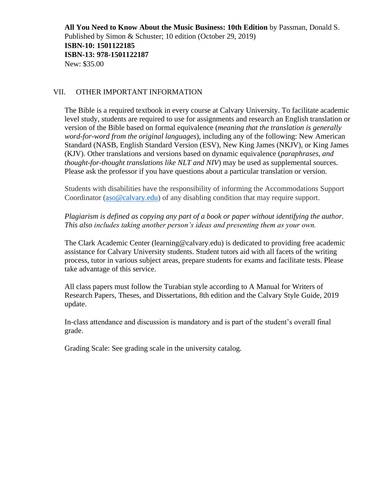**All You Need to Know About the Music Business: 10th Edition** by Passman, Donald S. [Pu](https://www.amazon.com/s/ref=dp_byline_sr_book_1?ie=UTF8&field-author=Donald+S.+Passman&text=Donald+S.+Passman&sort=relevancerank&search-alias=books)blished by Simon & Schuster; 10 edition (October 29, 2019) **ISBN-10: 1501122185 ISBN-13: 978-1501122187** New: \$35.00

#### VII. OTHER IMPORTANT INFORMATION

The Bible is a required textbook in every course at Calvary University. To facilitate academic level study, students are required to use for assignments and research an English translation or version of the Bible based on formal equivalence (*meaning that the translation is generally word-for-word from the original languages*), including any of the following: New American Standard (NASB, English Standard Version (ESV), New King James (NKJV), or King James (KJV). Other translations and versions based on dynamic equivalence (*paraphrases, and thought-for-thought translations like NLT and NIV*) may be used as supplemental sources. Please ask the professor if you have questions about a particular translation or version.

Students with disabilities have the responsibility of informing the Accommodations Support Coordinator [\(aso@calvary.edu\)](mailto:aso@calvary.edu) of any disabling condition that may require support.

*Plagiarism is defined as copying any part of a book or paper without identifying the author. This also includes taking another person's ideas and presenting them as your own.*

The Clark Academic Center (learning@calvary.edu) is dedicated to providing free academic assistance for Calvary University students. Student tutors aid with all facets of the writing process, tutor in various subject areas, prepare students for exams and facilitate tests. Please take advantage of this service.

All class papers must follow the Turabian style according to A Manual for Writers of Research Papers, Theses, and Dissertations, 8th edition and the Calvary Style Guide, 2019 update.

In-class attendance and discussion is mandatory and is part of the student's overall final grade.

Grading Scale: See grading scale in the university catalog.